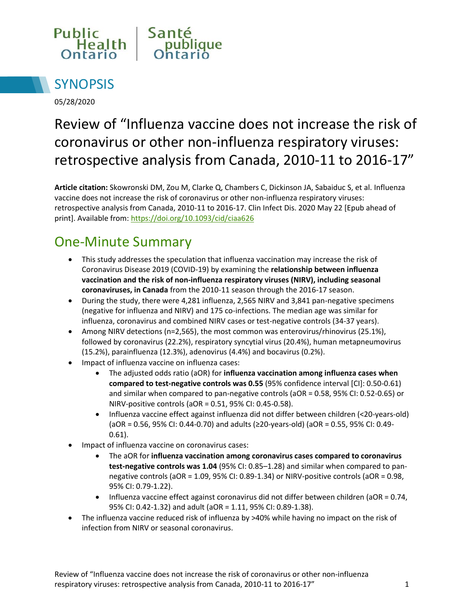



05/28/2020

# Review of "Influenza vaccine does not increase the risk of coronavirus or other non-influenza respiratory viruses: retrospective analysis from Canada, 2010-11 to 2016-17"

**Article citation:** Skowronski DM, Zou M, Clarke Q, Chambers C, Dickinson JA, Sabaiduc S, et al. Influenza vaccine does not increase the risk of coronavirus or other non-influenza respiratory viruses: retrospective analysis from Canada, 2010-11 to 2016-17. Clin Infect Dis. 2020 May 22 [Epub ahead of print]. Available from: <https://doi.org/10.1093/cid/ciaa626>

## One-Minute Summary

- This study addresses the speculation that influenza vaccination may increase the risk of Coronavirus Disease 2019 (COVID-19) by examining the **relationship between influenza vaccination and the risk of non-influenza respiratory viruses (NIRV), including seasonal coronaviruses, in Canada** from the 2010-11 season through the 2016-17 season.
- During the study, there were 4,281 influenza, 2,565 NIRV and 3,841 pan-negative specimens (negative for influenza and NIRV) and 175 co-infections. The median age was similar for influenza, coronavirus and combined NIRV cases or test-negative controls (34-37 years).
- Among NIRV detections (n=2,565), the most common was enterovirus/rhinovirus (25.1%), followed by coronavirus (22.2%), respiratory syncytial virus (20.4%), human metapneumovirus (15.2%), parainfluenza (12.3%), adenovirus (4.4%) and bocavirus (0.2%).
- Impact of influenza vaccine on influenza cases:
	- The adjusted odds ratio (aOR) for **influenza vaccination among influenza cases when compared to test-negative controls was 0.55** (95% confidence interval [CI]: 0.50-0.61) and similar when compared to pan-negative controls (aOR = 0.58, 95% CI: 0.52-0.65) or NIRV-positive controls (aOR = 0.51, 95% CI: 0.45-0.58).
	- Influenza vaccine effect against influenza did not differ between children (<20-years-old) (aOR = 0.56, 95% CI: 0.44-0.70) and adults (≥20-years-old) (aOR = 0.55, 95% CI: 0.49- 0.61).
- Impact of influenza vaccine on coronavirus cases:
	- The aOR for **influenza vaccination among coronavirus cases compared to coronavirus test-negative controls was 1.04** (95% CI: 0.85–1.28) and similar when compared to pannegative controls (aOR = 1.09, 95% CI: 0.89-1.34) or NIRV-positive controls (aOR = 0.98, 95% CI: 0.79-1.22).
	- $\bullet$  Influenza vaccine effect against coronavirus did not differ between children (aOR = 0.74, 95% CI: 0.42-1.32) and adult (aOR = 1.11, 95% CI: 0.89-1.38).
- The influenza vaccine reduced risk of influenza by >40% while having no impact on the risk of infection from NIRV or seasonal coronavirus.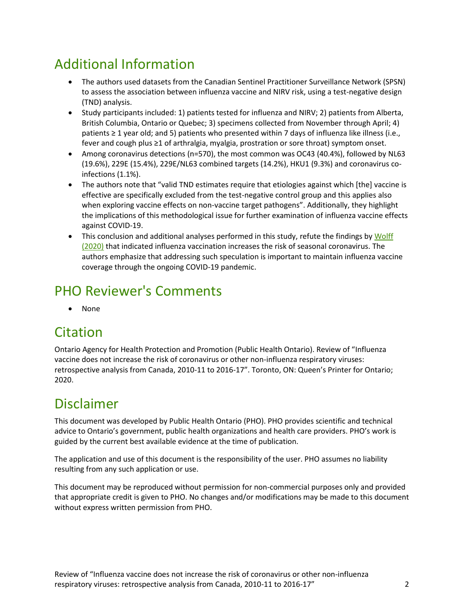## Additional Information

- The authors used datasets from the Canadian Sentinel Practitioner Surveillance Network (SPSN) to assess the association between influenza vaccine and NIRV risk, using a test-negative design (TND) analysis.
- Study participants included: 1) patients tested for influenza and NIRV; 2) patients from Alberta, British Columbia, Ontario or Quebec; 3) specimens collected from November through April; 4) patients ≥ 1 year old; and 5) patients who presented within 7 days of influenza like illness (i.e., fever and cough plus ≥1 of arthralgia, myalgia, prostration or sore throat) symptom onset.
- Among coronavirus detections (n=570), the most common was OC43 (40.4%), followed by NL63 (19.6%), 229E (15.4%), 229E/NL63 combined targets (14.2%), HKU1 (9.3%) and coronavirus coinfections (1.1%).
- The authors note that "valid TND estimates require that etiologies against which [the] vaccine is effective are specifically excluded from the test-negative control group and this applies also when exploring vaccine effects on non-vaccine target pathogens". Additionally, they highlight the implications of this methodological issue for further examination of influenza vaccine effects against COVID-19.
- This conclusion and additional analyses performed in this study, refute the findings by Wolff [\(2020\)](https://doi.org/10.1016/j.vaccine.2019.10.005) that indicated influenza vaccination increases the risk of seasonal coronavirus. The authors emphasize that addressing such speculation is important to maintain influenza vaccine coverage through the ongoing COVID-19 pandemic.

#### PHO Reviewer's Comments

• None

#### **Citation**

Ontario Agency for Health Protection and Promotion (Public Health Ontario). Review of "Influenza vaccine does not increase the risk of coronavirus or other non-influenza respiratory viruses: retrospective analysis from Canada, 2010-11 to 2016-17". Toronto, ON: Queen's Printer for Ontario; 2020.

## Disclaimer

This document was developed by Public Health Ontario (PHO). PHO provides scientific and technical advice to Ontario's government, public health organizations and health care providers. PHO's work is guided by the current best available evidence at the time of publication.

The application and use of this document is the responsibility of the user. PHO assumes no liability resulting from any such application or use.

This document may be reproduced without permission for non-commercial purposes only and provided that appropriate credit is given to PHO. No changes and/or modifications may be made to this document without express written permission from PHO.